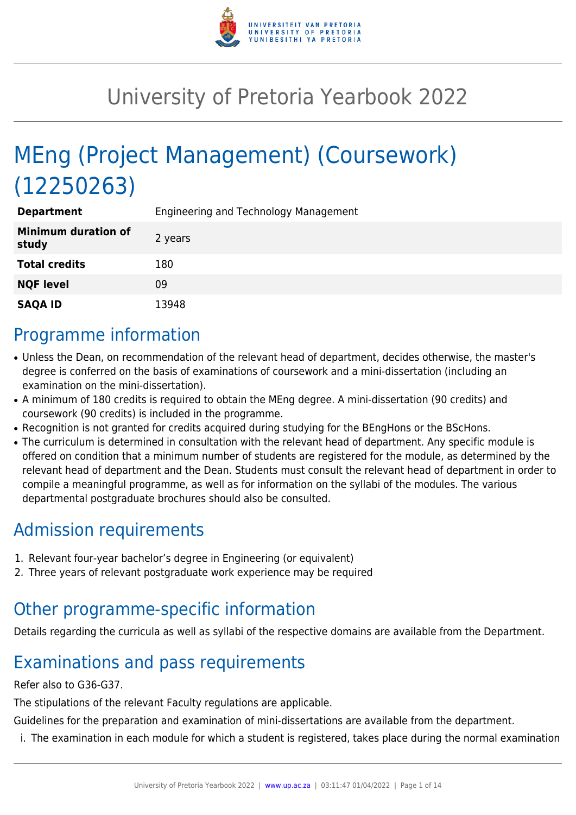

# University of Pretoria Yearbook 2022

# MEng (Project Management) (Coursework) (12250263)

| <b>Department</b>                   | Engineering and Technology Management |
|-------------------------------------|---------------------------------------|
| <b>Minimum duration of</b><br>study | 2 years                               |
| <b>Total credits</b>                | 180                                   |
| <b>NQF level</b>                    | 09                                    |
| <b>SAQA ID</b>                      | 13948                                 |

### Programme information

- Unless the Dean, on recommendation of the relevant head of department, decides otherwise, the master's degree is conferred on the basis of examinations of coursework and a mini-dissertation (including an examination on the mini-dissertation).
- A minimum of 180 credits is required to obtain the MEng degree. A mini-dissertation (90 credits) and coursework (90 credits) is included in the programme.
- Recognition is not granted for credits acquired during studying for the BEngHons or the BScHons.
- The curriculum is determined in consultation with the relevant head of department. Any specific module is offered on condition that a minimum number of students are registered for the module, as determined by the relevant head of department and the Dean. Students must consult the relevant head of department in order to compile a meaningful programme, as well as for information on the syllabi of the modules. The various departmental postgraduate brochures should also be consulted.

# Admission requirements

- 1. Relevant four-year bachelor's degree in Engineering (or equivalent)
- 2. Three years of relevant postgraduate work experience may be required

# Other programme-specific information

Details regarding the curricula as well as syllabi of the respective domains are available from the Department.

# Examinations and pass requirements

#### Refer also to G36-G37.

The stipulations of the relevant Faculty regulations are applicable.

Guidelines for the preparation and examination of mini-dissertations are available from the department.

i. The examination in each module for which a student is registered, takes place during the normal examination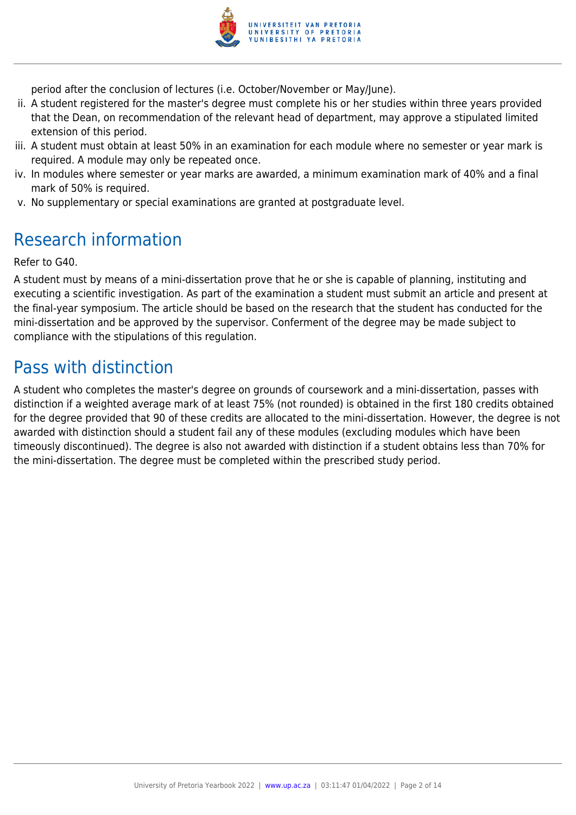

period after the conclusion of lectures (i.e. October/November or May/June).

- ii. A student registered for the master's degree must complete his or her studies within three years provided that the Dean, on recommendation of the relevant head of department, may approve a stipulated limited extension of this period.
- iii. A student must obtain at least 50% in an examination for each module where no semester or year mark is required. A module may only be repeated once.
- iv. In modules where semester or year marks are awarded, a minimum examination mark of 40% and a final mark of 50% is required.
- v. No supplementary or special examinations are granted at postgraduate level.

# Research information

Refer to G40.

A student must by means of a mini-dissertation prove that he or she is capable of planning, instituting and executing a scientific investigation. As part of the examination a student must submit an article and present at the final-year symposium. The article should be based on the research that the student has conducted for the mini-dissertation and be approved by the supervisor. Conferment of the degree may be made subject to compliance with the stipulations of this regulation.

## Pass with distinction

A student who completes the master's degree on grounds of coursework and a mini-dissertation, passes with distinction if a weighted average mark of at least 75% (not rounded) is obtained in the first 180 credits obtained for the degree provided that 90 of these credits are allocated to the mini-dissertation. However, the degree is not awarded with distinction should a student fail any of these modules (excluding modules which have been timeously discontinued). The degree is also not awarded with distinction if a student obtains less than 70% for the mini-dissertation. The degree must be completed within the prescribed study period.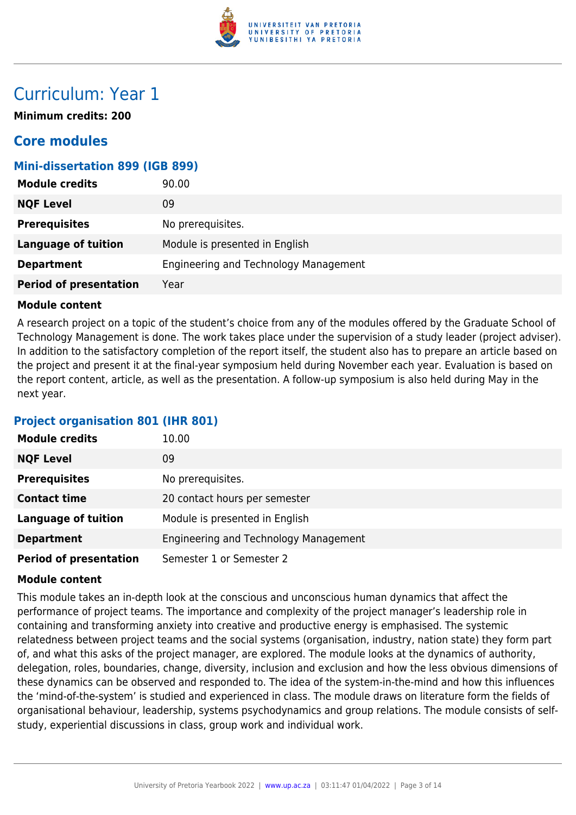

## Curriculum: Year 1

**Minimum credits: 200**

### **Core modules**

#### **Mini-dissertation 899 (IGB 899)**

| <b>Module credits</b>         | 90.00                                 |
|-------------------------------|---------------------------------------|
| <b>NQF Level</b>              | 09                                    |
| <b>Prerequisites</b>          | No prerequisites.                     |
| <b>Language of tuition</b>    | Module is presented in English        |
| <b>Department</b>             | Engineering and Technology Management |
| <b>Period of presentation</b> | Year                                  |

#### **Module content**

A research project on a topic of the student's choice from any of the modules offered by the Graduate School of Technology Management is done. The work takes place under the supervision of a study leader (project adviser). In addition to the satisfactory completion of the report itself, the student also has to prepare an article based on the project and present it at the final-year symposium held during November each year. Evaluation is based on the report content, article, as well as the presentation. A follow-up symposium is also held during May in the next year.

#### **Project organisation 801 (IHR 801)**

| <b>Module credits</b>         | 10.00                                 |
|-------------------------------|---------------------------------------|
| <b>NQF Level</b>              | 09                                    |
| <b>Prerequisites</b>          | No prerequisites.                     |
| <b>Contact time</b>           | 20 contact hours per semester         |
| <b>Language of tuition</b>    | Module is presented in English        |
| <b>Department</b>             | Engineering and Technology Management |
| <b>Period of presentation</b> | Semester 1 or Semester 2              |

#### **Module content**

This module takes an in-depth look at the conscious and unconscious human dynamics that affect the performance of project teams. The importance and complexity of the project manager's leadership role in containing and transforming anxiety into creative and productive energy is emphasised. The systemic relatedness between project teams and the social systems (organisation, industry, nation state) they form part of, and what this asks of the project manager, are explored. The module looks at the dynamics of authority, delegation, roles, boundaries, change, diversity, inclusion and exclusion and how the less obvious dimensions of these dynamics can be observed and responded to. The idea of the system-in-the-mind and how this influences the 'mind-of-the-system' is studied and experienced in class. The module draws on literature form the fields of organisational behaviour, leadership, systems psychodynamics and group relations. The module consists of selfstudy, experiential discussions in class, group work and individual work.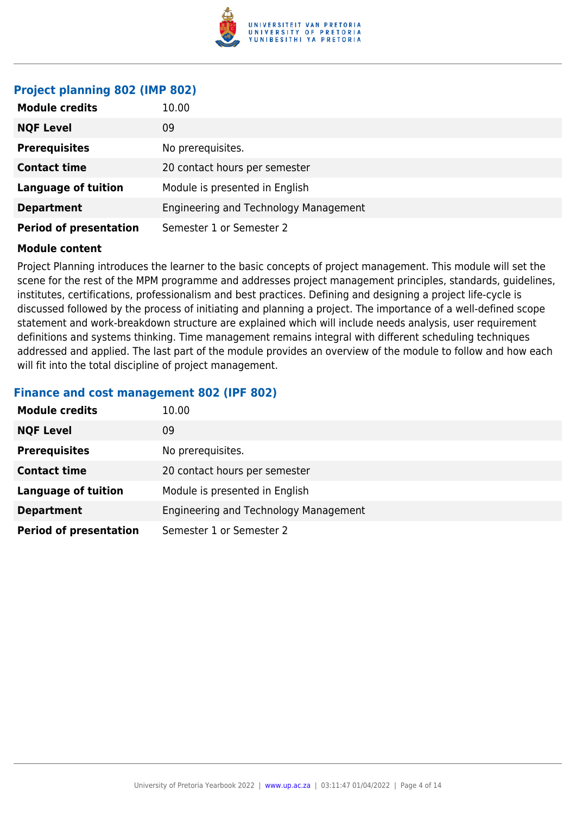

#### **Project planning 802 (IMP 802)**

| <b>Module credits</b>         | 10.00                                 |
|-------------------------------|---------------------------------------|
| <b>NQF Level</b>              | 09                                    |
| <b>Prerequisites</b>          | No prerequisites.                     |
| <b>Contact time</b>           | 20 contact hours per semester         |
| <b>Language of tuition</b>    | Module is presented in English        |
| <b>Department</b>             | Engineering and Technology Management |
| <b>Period of presentation</b> | Semester 1 or Semester 2              |

#### **Module content**

Project Planning introduces the learner to the basic concepts of project management. This module will set the scene for the rest of the MPM programme and addresses project management principles, standards, guidelines, institutes, certifications, professionalism and best practices. Defining and designing a project life-cycle is discussed followed by the process of initiating and planning a project. The importance of a well-defined scope statement and work-breakdown structure are explained which will include needs analysis, user requirement definitions and systems thinking. Time management remains integral with different scheduling techniques addressed and applied. The last part of the module provides an overview of the module to follow and how each will fit into the total discipline of project management.

#### **Finance and cost management 802 (IPF 802)**

| <b>Module credits</b>         | 10.00                                 |
|-------------------------------|---------------------------------------|
| <b>NQF Level</b>              | 09                                    |
| <b>Prerequisites</b>          | No prerequisites.                     |
| <b>Contact time</b>           | 20 contact hours per semester         |
| <b>Language of tuition</b>    | Module is presented in English        |
| <b>Department</b>             | Engineering and Technology Management |
| <b>Period of presentation</b> | Semester 1 or Semester 2              |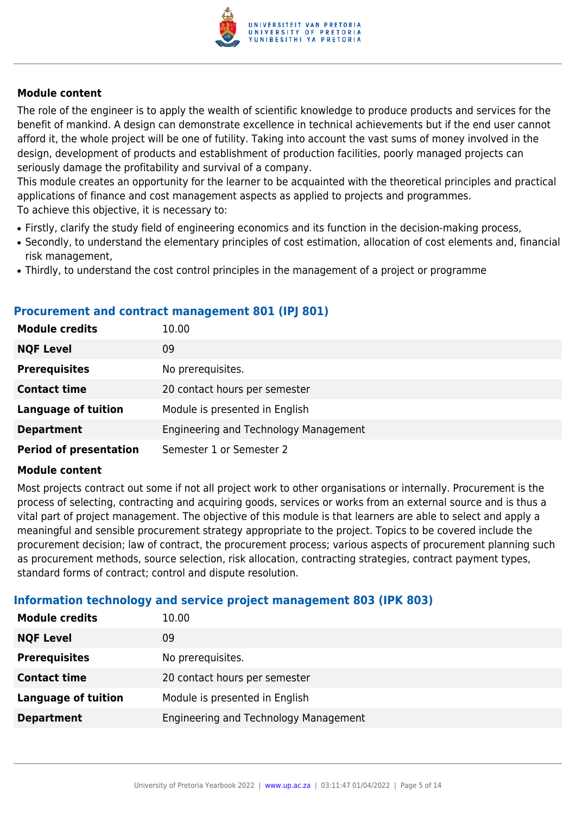

The role of the engineer is to apply the wealth of scientific knowledge to produce products and services for the benefit of mankind. A design can demonstrate excellence in technical achievements but if the end user cannot afford it, the whole project will be one of futility. Taking into account the vast sums of money involved in the design, development of products and establishment of production facilities, poorly managed projects can seriously damage the profitability and survival of a company.

This module creates an opportunity for the learner to be acquainted with the theoretical principles and practical applications of finance and cost management aspects as applied to projects and programmes. To achieve this objective, it is necessary to:

- Firstly, clarify the study field of engineering economics and its function in the decision-making process,
- Secondly, to understand the elementary principles of cost estimation, allocation of cost elements and, financial risk management,
- Thirdly, to understand the cost control principles in the management of a project or programme

#### **Procurement and contract management 801 (IPJ 801)**

| <b>Module credits</b>         | 10.00                                 |
|-------------------------------|---------------------------------------|
| <b>NQF Level</b>              | 09                                    |
| <b>Prerequisites</b>          | No prerequisites.                     |
| <b>Contact time</b>           | 20 contact hours per semester         |
| <b>Language of tuition</b>    | Module is presented in English        |
| <b>Department</b>             | Engineering and Technology Management |
| <b>Period of presentation</b> | Semester 1 or Semester 2              |

#### **Module content**

Most projects contract out some if not all project work to other organisations or internally. Procurement is the process of selecting, contracting and acquiring goods, services or works from an external source and is thus a vital part of project management. The objective of this module is that learners are able to select and apply a meaningful and sensible procurement strategy appropriate to the project. Topics to be covered include the procurement decision; law of contract, the procurement process; various aspects of procurement planning such as procurement methods, source selection, risk allocation, contracting strategies, contract payment types, standard forms of contract; control and dispute resolution.

#### **Information technology and service project management 803 (IPK 803)**

| <b>Module credits</b>      | 10.00                                 |
|----------------------------|---------------------------------------|
| <b>NQF Level</b>           | 09                                    |
| <b>Prerequisites</b>       | No prerequisites.                     |
| <b>Contact time</b>        | 20 contact hours per semester         |
| <b>Language of tuition</b> | Module is presented in English        |
| <b>Department</b>          | Engineering and Technology Management |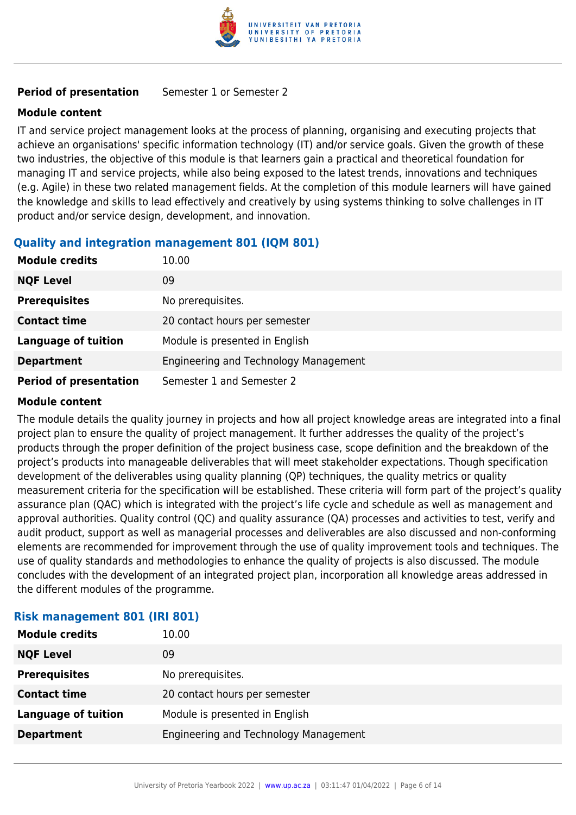

#### **Period of presentation** Semester 1 or Semester 2

#### **Module content**

IT and service project management looks at the process of planning, organising and executing projects that achieve an organisations' specific information technology (IT) and/or service goals. Given the growth of these two industries, the objective of this module is that learners gain a practical and theoretical foundation for managing IT and service projects, while also being exposed to the latest trends, innovations and techniques (e.g. Agile) in these two related management fields. At the completion of this module learners will have gained the knowledge and skills to lead effectively and creatively by using systems thinking to solve challenges in IT product and/or service design, development, and innovation.

#### **Quality and integration management 801 (IQM 801)**

| <b>Module credits</b>         | 10.00                                 |
|-------------------------------|---------------------------------------|
| <b>NQF Level</b>              | 09                                    |
| <b>Prerequisites</b>          | No prerequisites.                     |
| <b>Contact time</b>           | 20 contact hours per semester         |
| <b>Language of tuition</b>    | Module is presented in English        |
| <b>Department</b>             | Engineering and Technology Management |
| <b>Period of presentation</b> | Semester 1 and Semester 2             |

#### **Module content**

The module details the quality journey in projects and how all project knowledge areas are integrated into a final project plan to ensure the quality of project management. It further addresses the quality of the project's products through the proper definition of the project business case, scope definition and the breakdown of the project's products into manageable deliverables that will meet stakeholder expectations. Though specification development of the deliverables using quality planning (QP) techniques, the quality metrics or quality measurement criteria for the specification will be established. These criteria will form part of the project's quality assurance plan (QAC) which is integrated with the project's life cycle and schedule as well as management and approval authorities. Quality control (QC) and quality assurance (QA) processes and activities to test, verify and audit product, support as well as managerial processes and deliverables are also discussed and non-conforming elements are recommended for improvement through the use of quality improvement tools and techniques. The use of quality standards and methodologies to enhance the quality of projects is also discussed. The module concludes with the development of an integrated project plan, incorporation all knowledge areas addressed in the different modules of the programme.

| <b>Module credits</b>      | 10.00                                 |
|----------------------------|---------------------------------------|
| <b>NQF Level</b>           | 09                                    |
| <b>Prerequisites</b>       | No prerequisites.                     |
| <b>Contact time</b>        | 20 contact hours per semester         |
| <b>Language of tuition</b> | Module is presented in English        |
| <b>Department</b>          | Engineering and Technology Management |
|                            |                                       |

### **Risk management 801 (IRI 801)**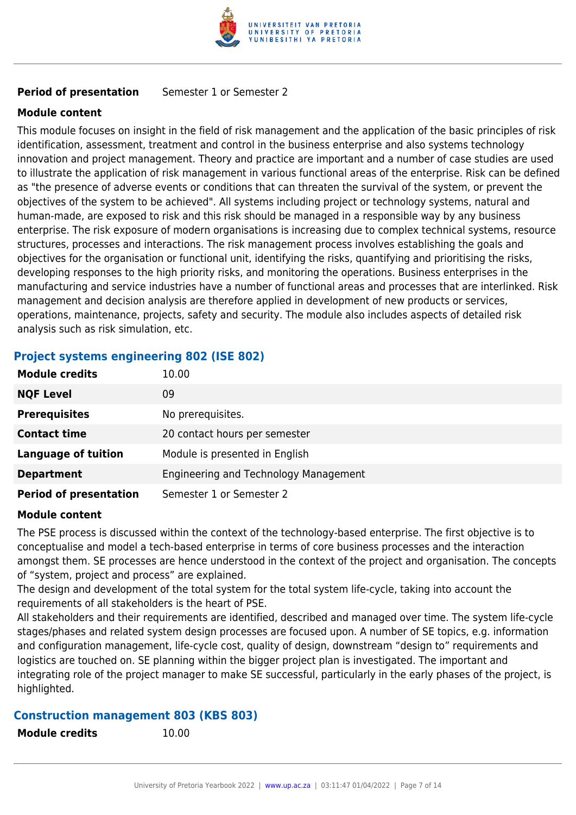

#### **Period of presentation** Semester 1 or Semester 2

#### **Module content**

This module focuses on insight in the field of risk management and the application of the basic principles of risk identification, assessment, treatment and control in the business enterprise and also systems technology innovation and project management. Theory and practice are important and a number of case studies are used to illustrate the application of risk management in various functional areas of the enterprise. Risk can be defined as "the presence of adverse events or conditions that can threaten the survival of the system, or prevent the objectives of the system to be achieved". All systems including project or technology systems, natural and human-made, are exposed to risk and this risk should be managed in a responsible way by any business enterprise. The risk exposure of modern organisations is increasing due to complex technical systems, resource structures, processes and interactions. The risk management process involves establishing the goals and objectives for the organisation or functional unit, identifying the risks, quantifying and prioritising the risks, developing responses to the high priority risks, and monitoring the operations. Business enterprises in the manufacturing and service industries have a number of functional areas and processes that are interlinked. Risk management and decision analysis are therefore applied in development of new products or services, operations, maintenance, projects, safety and security. The module also includes aspects of detailed risk analysis such as risk simulation, etc.

#### **Project systems engineering 802 (ISE 802)**

| <b>Module credits</b>         | 10.00                                 |
|-------------------------------|---------------------------------------|
| <b>NQF Level</b>              | 09                                    |
| <b>Prerequisites</b>          | No prerequisites.                     |
| <b>Contact time</b>           | 20 contact hours per semester         |
| <b>Language of tuition</b>    | Module is presented in English        |
| <b>Department</b>             | Engineering and Technology Management |
| <b>Period of presentation</b> | Semester 1 or Semester 2              |

#### **Module content**

The PSE process is discussed within the context of the technology-based enterprise. The first objective is to conceptualise and model a tech-based enterprise in terms of core business processes and the interaction amongst them. SE processes are hence understood in the context of the project and organisation. The concepts of "system, project and process" are explained.

The design and development of the total system for the total system life-cycle, taking into account the requirements of all stakeholders is the heart of PSE.

All stakeholders and their requirements are identified, described and managed over time. The system life-cycle stages/phases and related system design processes are focused upon. A number of SE topics, e.g. information and configuration management, life-cycle cost, quality of design, downstream "design to" requirements and logistics are touched on. SE planning within the bigger project plan is investigated. The important and integrating role of the project manager to make SE successful, particularly in the early phases of the project, is highlighted.

#### **Construction management 803 (KBS 803)**

**Module credits** 10.00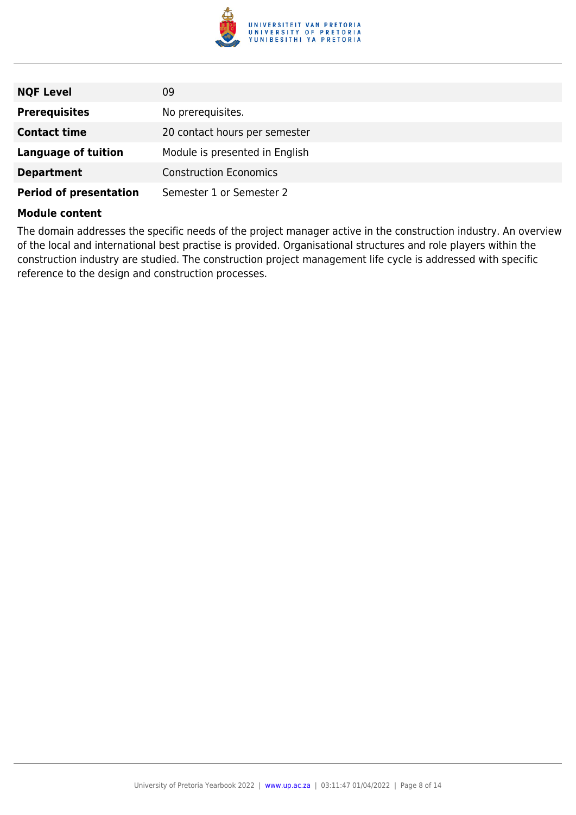

| <b>NQF Level</b>              | 09                             |
|-------------------------------|--------------------------------|
| <b>Prerequisites</b>          | No prerequisites.              |
| <b>Contact time</b>           | 20 contact hours per semester  |
| <b>Language of tuition</b>    | Module is presented in English |
| <b>Department</b>             | <b>Construction Economics</b>  |
| <b>Period of presentation</b> | Semester 1 or Semester 2       |

The domain addresses the specific needs of the project manager active in the construction industry. An overview of the local and international best practise is provided. Organisational structures and role players within the construction industry are studied. The construction project management life cycle is addressed with specific reference to the design and construction processes.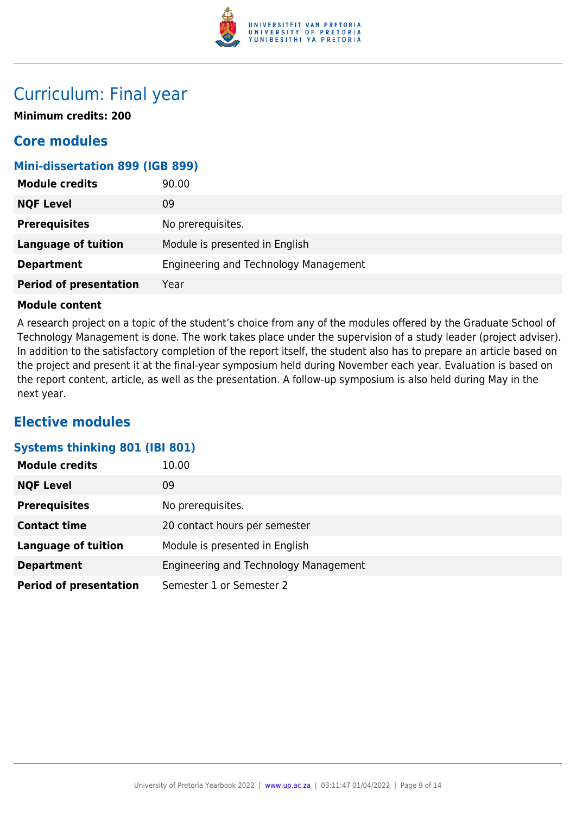

## Curriculum: Final year

**Minimum credits: 200**

### **Core modules**

#### **Mini-dissertation 899 (IGB 899)**

| <b>Module credits</b>         | 90.00                                 |
|-------------------------------|---------------------------------------|
| <b>NQF Level</b>              | 09                                    |
| <b>Prerequisites</b>          | No prerequisites.                     |
| <b>Language of tuition</b>    | Module is presented in English        |
| <b>Department</b>             | Engineering and Technology Management |
| <b>Period of presentation</b> | Year                                  |

#### **Module content**

A research project on a topic of the student's choice from any of the modules offered by the Graduate School of Technology Management is done. The work takes place under the supervision of a study leader (project adviser). In addition to the satisfactory completion of the report itself, the student also has to prepare an article based on the project and present it at the final-year symposium held during November each year. Evaluation is based on the report content, article, as well as the presentation. A follow-up symposium is also held during May in the next year.

### **Elective modules**

#### **Systems thinking 801 (IBI 801)**

| <b>Module credits</b>         | 10.00                                 |
|-------------------------------|---------------------------------------|
| <b>NQF Level</b>              | 09                                    |
| <b>Prerequisites</b>          | No prerequisites.                     |
| <b>Contact time</b>           | 20 contact hours per semester         |
| <b>Language of tuition</b>    | Module is presented in English        |
| <b>Department</b>             | Engineering and Technology Management |
| <b>Period of presentation</b> | Semester 1 or Semester 2              |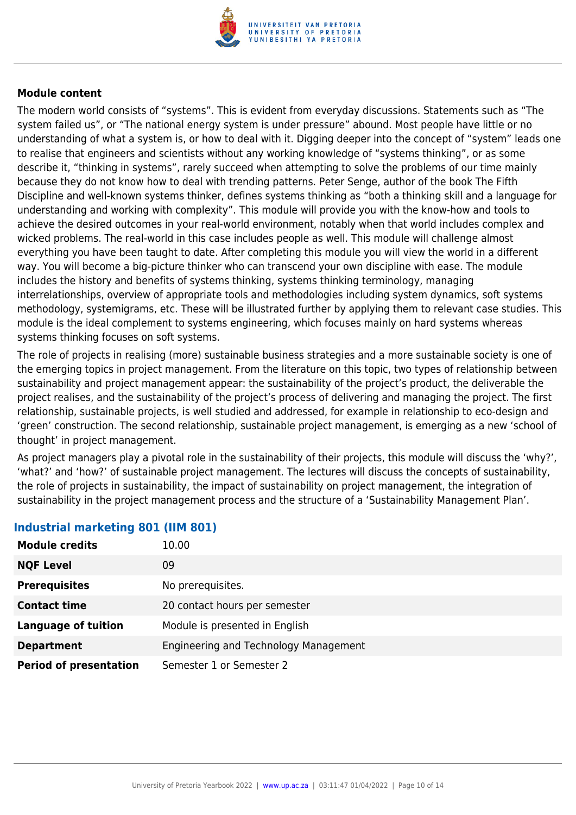

The modern world consists of "systems". This is evident from everyday discussions. Statements such as "The system failed us", or "The national energy system is under pressure" abound. Most people have little or no understanding of what a system is, or how to deal with it. Digging deeper into the concept of "system" leads one to realise that engineers and scientists without any working knowledge of "systems thinking", or as some describe it, "thinking in systems", rarely succeed when attempting to solve the problems of our time mainly because they do not know how to deal with trending patterns. Peter Senge, author of the book The Fifth Discipline and well-known systems thinker, defines systems thinking as "both a thinking skill and a language for understanding and working with complexity". This module will provide you with the know-how and tools to achieve the desired outcomes in your real-world environment, notably when that world includes complex and wicked problems. The real-world in this case includes people as well. This module will challenge almost everything you have been taught to date. After completing this module you will view the world in a different way. You will become a big-picture thinker who can transcend your own discipline with ease. The module includes the history and benefits of systems thinking, systems thinking terminology, managing interrelationships, overview of appropriate tools and methodologies including system dynamics, soft systems methodology, systemigrams, etc. These will be illustrated further by applying them to relevant case studies. This module is the ideal complement to systems engineering, which focuses mainly on hard systems whereas systems thinking focuses on soft systems.

The role of projects in realising (more) sustainable business strategies and a more sustainable society is one of the emerging topics in project management. From the literature on this topic, two types of relationship between sustainability and project management appear: the sustainability of the project's product, the deliverable the project realises, and the sustainability of the project's process of delivering and managing the project. The first relationship, sustainable projects, is well studied and addressed, for example in relationship to eco-design and 'green' construction. The second relationship, sustainable project management, is emerging as a new 'school of thought' in project management.

As project managers play a pivotal role in the sustainability of their projects, this module will discuss the 'why?', 'what?' and 'how?' of sustainable project management. The lectures will discuss the concepts of sustainability, the role of projects in sustainability, the impact of sustainability on project management, the integration of sustainability in the project management process and the structure of a 'Sustainability Management Plan'.

| <b>Module credits</b>         | 10.00                                 |
|-------------------------------|---------------------------------------|
| <b>NQF Level</b>              | 09                                    |
| <b>Prerequisites</b>          | No prerequisites.                     |
| <b>Contact time</b>           | 20 contact hours per semester         |
| <b>Language of tuition</b>    | Module is presented in English        |
| <b>Department</b>             | Engineering and Technology Management |
| <b>Period of presentation</b> | Semester 1 or Semester 2              |

#### **Industrial marketing 801 (IIM 801)**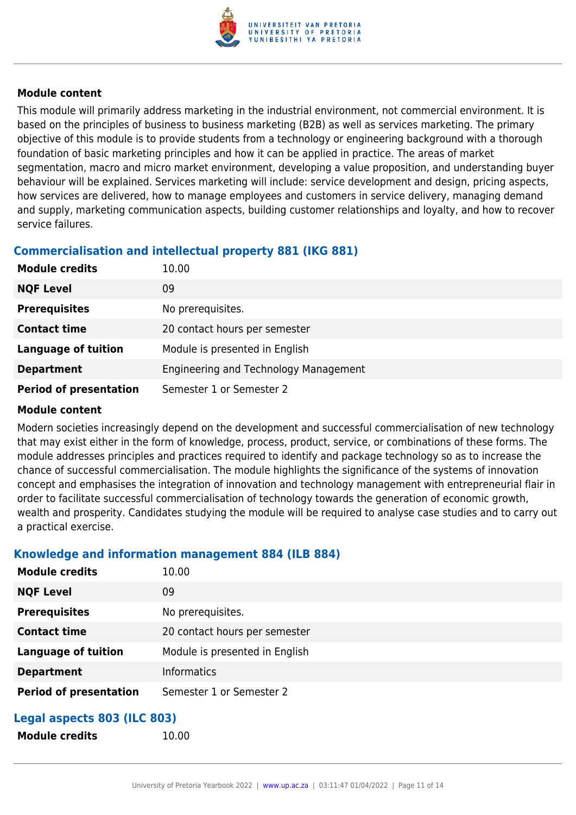

This module will primarily address marketing in the industrial environment, not commercial environment. It is based on the principles of business to business marketing (B2B) as well as services marketing. The primary objective of this module is to provide students from a technology or engineering background with a thorough foundation of basic marketing principles and how it can be applied in practice. The areas of market segmentation, macro and micro market environment, developing a value proposition, and understanding buyer behaviour will be explained. Services marketing will include: service development and design, pricing aspects, how services are delivered, how to manage employees and customers in service delivery, managing demand and supply, marketing communication aspects, building customer relationships and loyalty, and how to recover service failures.

### **Commercialisation and intellectual property 881 (IKG 881)**

| <b>Module credits</b>         | 10.00                                 |
|-------------------------------|---------------------------------------|
| <b>NQF Level</b>              | 09                                    |
| <b>Prerequisites</b>          | No prerequisites.                     |
| <b>Contact time</b>           | 20 contact hours per semester         |
| <b>Language of tuition</b>    | Module is presented in English        |
| <b>Department</b>             | Engineering and Technology Management |
| <b>Period of presentation</b> | Semester 1 or Semester 2              |

#### **Module content**

Modern societies increasingly depend on the development and successful commercialisation of new technology that may exist either in the form of knowledge, process, product, service, or combinations of these forms. The module addresses principles and practices required to identify and package technology so as to increase the chance of successful commercialisation. The module highlights the significance of the systems of innovation concept and emphasises the integration of innovation and technology management with entrepreneurial flair in order to facilitate successful commercialisation of technology towards the generation of economic growth, wealth and prosperity. Candidates studying the module will be required to analyse case studies and to carry out a practical exercise.

#### **Knowledge and information management 884 (ILB 884)**

**Module credits** 10.00

| <b>Module credits</b>         | 10.00                          |
|-------------------------------|--------------------------------|
| <b>NQF Level</b>              | 09                             |
| <b>Prerequisites</b>          | No prerequisites.              |
| <b>Contact time</b>           | 20 contact hours per semester  |
| <b>Language of tuition</b>    | Module is presented in English |
| <b>Department</b>             | <b>Informatics</b>             |
| <b>Period of presentation</b> | Semester 1 or Semester 2       |
|                               |                                |

### **Legal aspects 803 (ILC 803)**

| <b>Module credits</b> |
|-----------------------|
|-----------------------|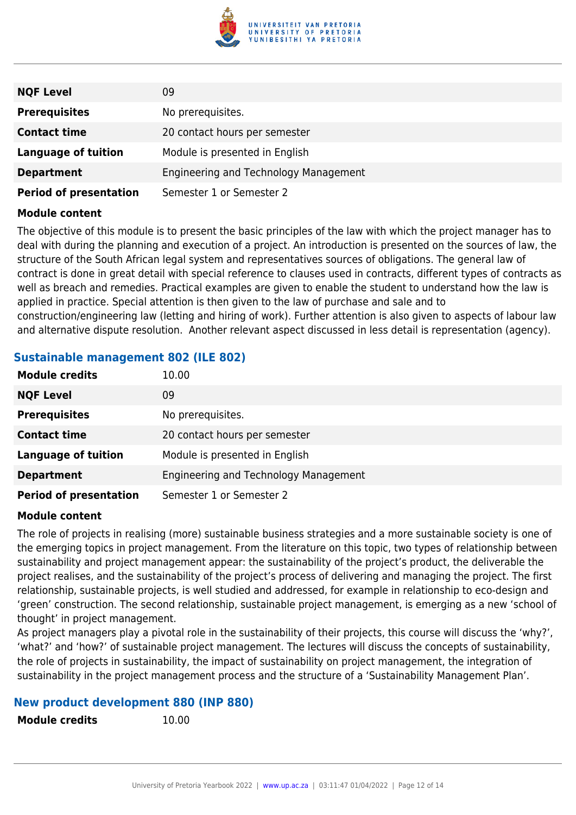

| <b>NQF Level</b>              | 09                                    |
|-------------------------------|---------------------------------------|
| <b>Prerequisites</b>          | No prerequisites.                     |
| <b>Contact time</b>           | 20 contact hours per semester         |
| <b>Language of tuition</b>    | Module is presented in English        |
| <b>Department</b>             | Engineering and Technology Management |
| <b>Period of presentation</b> | Semester 1 or Semester 2              |

The objective of this module is to present the basic principles of the law with which the project manager has to deal with during the planning and execution of a project. An introduction is presented on the sources of law, the structure of the South African legal system and representatives sources of obligations. The general law of contract is done in great detail with special reference to clauses used in contracts, different types of contracts as well as breach and remedies. Practical examples are given to enable the student to understand how the law is applied in practice. Special attention is then given to the law of purchase and sale and to construction/engineering law (letting and hiring of work). Further attention is also given to aspects of labour law and alternative dispute resolution. Another relevant aspect discussed in less detail is representation (agency).

#### **Sustainable management 802 (ILE 802)**

| <b>Module credits</b>         | 10.00                                 |
|-------------------------------|---------------------------------------|
| <b>NQF Level</b>              | 09                                    |
| <b>Prerequisites</b>          | No prerequisites.                     |
| <b>Contact time</b>           | 20 contact hours per semester         |
| <b>Language of tuition</b>    | Module is presented in English        |
| <b>Department</b>             | Engineering and Technology Management |
| <b>Period of presentation</b> | Semester 1 or Semester 2              |

#### **Module content**

The role of projects in realising (more) sustainable business strategies and a more sustainable society is one of the emerging topics in project management. From the literature on this topic, two types of relationship between sustainability and project management appear: the sustainability of the project's product, the deliverable the project realises, and the sustainability of the project's process of delivering and managing the project. The first relationship, sustainable projects, is well studied and addressed, for example in relationship to eco-design and 'green' construction. The second relationship, sustainable project management, is emerging as a new 'school of thought' in project management.

As project managers play a pivotal role in the sustainability of their projects, this course will discuss the 'why?', 'what?' and 'how?' of sustainable project management. The lectures will discuss the concepts of sustainability, the role of projects in sustainability, the impact of sustainability on project management, the integration of sustainability in the project management process and the structure of a 'Sustainability Management Plan'.

#### **New product development 880 (INP 880)**

**Module credits** 10.00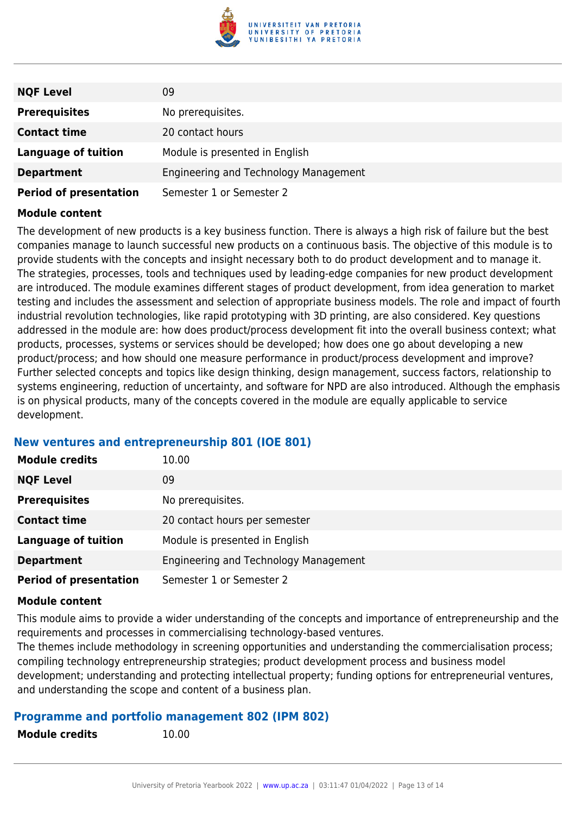

| <b>NQF Level</b>              | 09                                    |
|-------------------------------|---------------------------------------|
| <b>Prerequisites</b>          | No prerequisites.                     |
| <b>Contact time</b>           | 20 contact hours                      |
| <b>Language of tuition</b>    | Module is presented in English        |
| <b>Department</b>             | Engineering and Technology Management |
| <b>Period of presentation</b> | Semester 1 or Semester 2              |

The development of new products is a key business function. There is always a high risk of failure but the best companies manage to launch successful new products on a continuous basis. The objective of this module is to provide students with the concepts and insight necessary both to do product development and to manage it. The strategies, processes, tools and techniques used by leading-edge companies for new product development are introduced. The module examines different stages of product development, from idea generation to market testing and includes the assessment and selection of appropriate business models. The role and impact of fourth industrial revolution technologies, like rapid prototyping with 3D printing, are also considered. Key questions addressed in the module are: how does product/process development fit into the overall business context; what products, processes, systems or services should be developed; how does one go about developing a new product/process; and how should one measure performance in product/process development and improve? Further selected concepts and topics like design thinking, design management, success factors, relationship to systems engineering, reduction of uncertainty, and software for NPD are also introduced. Although the emphasis is on physical products, many of the concepts covered in the module are equally applicable to service development.

#### **New ventures and entrepreneurship 801 (IOE 801)**

| <b>Module credits</b>         | 10.00                                 |
|-------------------------------|---------------------------------------|
| <b>NQF Level</b>              | 09                                    |
| <b>Prerequisites</b>          | No prerequisites.                     |
| <b>Contact time</b>           | 20 contact hours per semester         |
| <b>Language of tuition</b>    | Module is presented in English        |
| <b>Department</b>             | Engineering and Technology Management |
| <b>Period of presentation</b> | Semester 1 or Semester 2              |

#### **Module content**

This module aims to provide a wider understanding of the concepts and importance of entrepreneurship and the requirements and processes in commercialising technology-based ventures.

The themes include methodology in screening opportunities and understanding the commercialisation process; compiling technology entrepreneurship strategies; product development process and business model development; understanding and protecting intellectual property; funding options for entrepreneurial ventures, and understanding the scope and content of a business plan.

#### **Programme and portfolio management 802 (IPM 802)**

| <b>Module credits</b> | 10.00 |
|-----------------------|-------|
|-----------------------|-------|